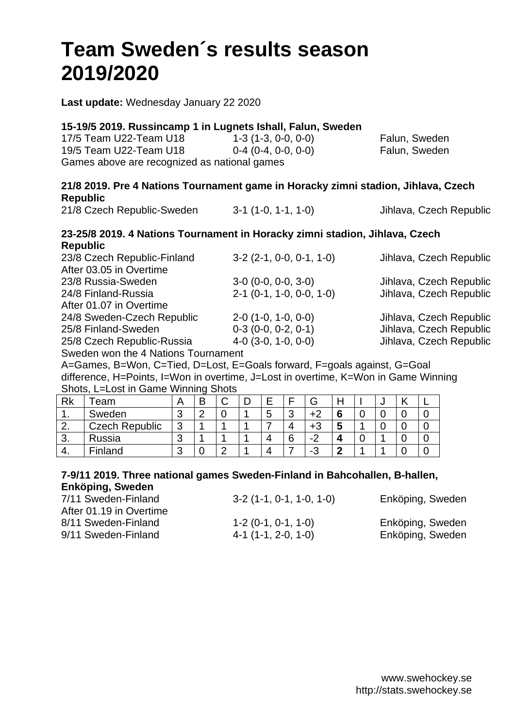# **Team Sweden´s results season 2019/2020**

**Last update:** Wednesday January 22 2020

|                                              | 15-19/5 2019. Russincamp 1 in Lugnets Ishall, Falun, Sweden |               |
|----------------------------------------------|-------------------------------------------------------------|---------------|
| 17/5 Team U22-Team U18                       | $1-3(1-3, 0-0, 0-0)$                                        | Falun, Sweden |
| 19/5 Team U22-Team U18                       | $0-4$ (0-4, 0-0, 0-0)                                       | Falun, Sweden |
| Games above are recognized as national games |                                                             |               |

#### **21/8 2019. Pre 4 Nations Tournament game in Horacky zimni stadion, Jihlava, Czech Republic** Jihlava, Czech Republic

| 21/8 Czech Republic-Sweden | $3-1$ (1-0, 1-1, 1-0) |  |
|----------------------------|-----------------------|--|
|----------------------------|-----------------------|--|

#### **23-25/8 2019. 4 Nations Tournament in Horacky zimni stadion, Jihlava, Czech Republic**

| 23/8 Czech Republic-Finland         | $3-2$ (2-1, 0-0, 0-1, 1-0) | Jihlava, Czech Republic |
|-------------------------------------|----------------------------|-------------------------|
| After 03.05 in Overtime             |                            |                         |
| 23/8 Russia-Sweden                  | $3-0$ (0-0, 0-0, 3-0)      | Jihlava, Czech Republic |
| 24/8 Finland-Russia                 | $2-1$ (0-1, 1-0, 0-0, 1-0) | Jihlava, Czech Republic |
| After 01.07 in Overtime             |                            |                         |
| 24/8 Sweden-Czech Republic          | $2-0$ (1-0, 1-0, 0-0)      | Jihlava, Czech Republic |
| 25/8 Finland-Sweden                 | $0-3$ (0-0, 0-2, 0-1)      | Jihlava, Czech Republic |
| 25/8 Czech Republic-Russia          | $4-0$ (3-0, 1-0, 0-0)      | Jihlava, Czech Republic |
| Sweden won the 4 Nations Tournament |                            |                         |
|                                     |                            |                         |

A=Games, B=Won, C=Tied, D=Lost, E=Goals forward, F=goals against, G=Goal difference, H=Points, I=Won in overtime, J=Lost in overtime, K=Won in Game Winning Shots, L=Lost in Game Winning Shots

| Rk | eam                   |        | $\tilde{\phantom{a}}$ | ⌒<br>ີ | _      |        | G                 |   | ີ |  |
|----|-----------------------|--------|-----------------------|--------|--------|--------|-------------------|---|---|--|
|    | Sweden                | ື      |                       | U      | ∽<br>◡ | ⌒<br>ື | +2                | ∼ |   |  |
|    | <b>Czech Republic</b> | ⌒<br>ື |                       |        |        |        | +3                |   |   |  |
| J. | Russia                | ີ      |                       |        |        | 6      | $\sqrt{2}$<br>- - |   |   |  |
| т. | Finland               | ັ      |                       | ◠      |        |        | ⌒<br>- 3          |   |   |  |

#### **7-9/11 2019. Three national games Sweden-Finland in Bahcohallen, B-hallen, Enköping, Sweden**

| 7/11 Sweden-Finland<br>After 01.19 in Overtime | $3-2$ (1-1, 0-1, 1-0, 1-0) | Enköping, Sweden |
|------------------------------------------------|----------------------------|------------------|
| 8/11 Sweden-Finland                            | $1-2(0-1, 0-1, 1-0)$       | Enköping, Sweden |
| 9/11 Sweden-Finland                            | $4-1$ (1-1, 2-0, 1-0)      | Enköping, Sweden |